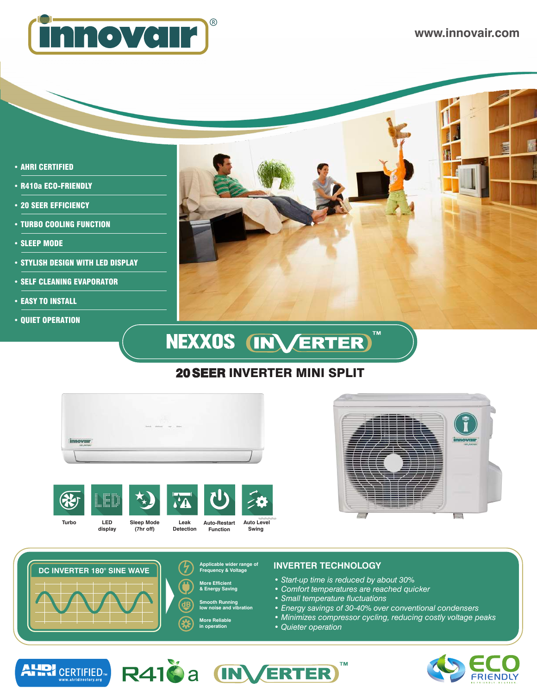

- AHRI CERTIFIED
- R410a ECO-FRIENDLY
- 20 SEER EFFICIENCY
- TURBO COOLING FUNCTION
- SLEEP MODE
- STYLISH DESIGN WITH LED DISPLAY
- SELF CLEANING EVAPORATOR
- EASY TO INSTALL
- QUIET OPERATION



# NEXXOS (INVERTER)

## 20 SEER INVERTER MINI SPLIT











- **More Efficient & Energy Saving**
- **Smooth Running low noise and vibration**
- 

#### **More Reliable in operation**

#### **Applicable wider range of INVERTER TECHNOLOGY Frequency & Voltage**

*• Start-up time is reduced by about 30%*

**TM** 

- *Comfort temperatures are reached quicker*
- *Small temperature fluctuations*
- *Energy savings of 30-40% over conventional condensers*
- *Minimizes compressor cycling, reducing costly voltage peaks*
- *Quieter operation*